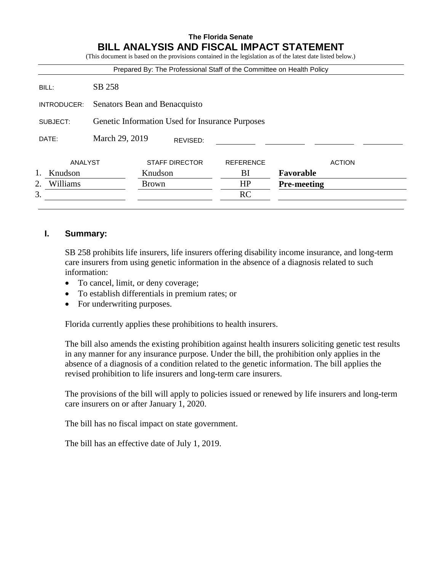#### **The Florida Senate BILL ANALYSIS AND FISCAL IMPACT STATEMENT** (This document is based on the provisions contained in the legislation as of the latest date listed below.)

|                |                                                 |              |                       | Prepared By: The Professional Staff of the Committee on Health Policy |                    |               |
|----------------|-------------------------------------------------|--------------|-----------------------|-----------------------------------------------------------------------|--------------------|---------------|
| BILL:          | SB 258                                          |              |                       |                                                                       |                    |               |
| INTRODUCER:    | Senators Bean and Benacquisto                   |              |                       |                                                                       |                    |               |
| SUBJECT:       | Genetic Information Used for Insurance Purposes |              |                       |                                                                       |                    |               |
| DATE:          | March 29, 2019                                  |              | REVISED:              |                                                                       |                    |               |
| ANALYST        |                                                 |              | <b>STAFF DIRECTOR</b> | <b>REFERENCE</b>                                                      |                    | <b>ACTION</b> |
| Knudson        |                                                 | Knudson      |                       | BI                                                                    | Favorable          |               |
| Williams<br>2. |                                                 | <b>Brown</b> |                       | HP                                                                    | <b>Pre-meeting</b> |               |
| 3.             |                                                 |              |                       | RC                                                                    |                    |               |

## **I. Summary:**

SB 258 prohibits life insurers, life insurers offering disability income insurance, and long-term care insurers from using genetic information in the absence of a diagnosis related to such information:

- To cancel, limit, or deny coverage;
- To establish differentials in premium rates; or
- For underwriting purposes.

Florida currently applies these prohibitions to health insurers.

The bill also amends the existing prohibition against health insurers soliciting genetic test results in any manner for any insurance purpose. Under the bill, the prohibition only applies in the absence of a diagnosis of a condition related to the genetic information. The bill applies the revised prohibition to life insurers and long-term care insurers.

The provisions of the bill will apply to policies issued or renewed by life insurers and long-term care insurers on or after January 1, 2020.

The bill has no fiscal impact on state government.

The bill has an effective date of July 1, 2019.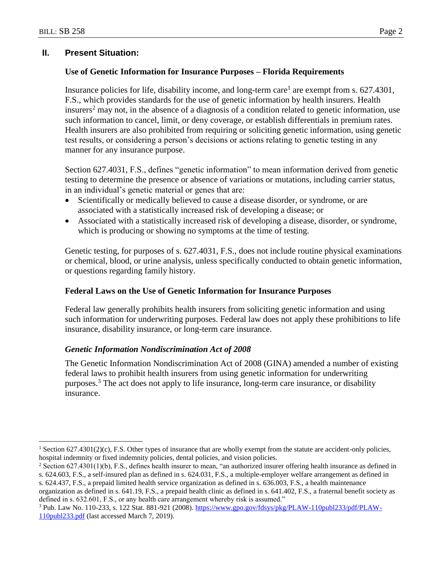$\overline{a}$ 

## **II. Present Situation:**

#### **Use of Genetic Information for Insurance Purposes – Florida Requirements**

Insurance policies for life, disability income, and long-term care<sup>1</sup> are exempt from s.  $627.4301$ , F.S., which provides standards for the use of genetic information by health insurers. Health insurers<sup>2</sup> may not, in the absence of a diagnosis of a condition related to genetic information, use such information to cancel, limit, or deny coverage, or establish differentials in premium rates. Health insurers are also prohibited from requiring or soliciting genetic information, using genetic test results, or considering a person's decisions or actions relating to genetic testing in any manner for any insurance purpose.

Section 627.4031, F.S., defines "genetic information" to mean information derived from genetic testing to determine the presence or absence of variations or mutations, including carrier status, in an individual's genetic material or genes that are:

- Scientifically or medically believed to cause a disease disorder, or syndrome, or are associated with a statistically increased risk of developing a disease; or
- Associated with a statistically increased risk of developing a disease, disorder, or syndrome, which is producing or showing no symptoms at the time of testing.

Genetic testing, for purposes of s. 627.4031, F.S., does not include routine physical examinations or chemical, blood, or urine analysis, unless specifically conducted to obtain genetic information, or questions regarding family history.

#### **Federal Laws on the Use of Genetic Information for Insurance Purposes**

Federal law generally prohibits health insurers from soliciting genetic information and using such information for underwriting purposes. Federal law does not apply these prohibitions to life insurance, disability insurance, or long-term care insurance.

#### *Genetic Information Nondiscrimination Act of 2008*

The Genetic Information Nondiscrimination Act of 2008 (GINA) amended a number of existing federal laws to prohibit health insurers from using genetic information for underwriting purposes.<sup>3</sup> The act does not apply to life insurance, long-term care insurance, or disability insurance.

<sup>&</sup>lt;sup>1</sup> Section 627.4301(2)(c), F.S. Other types of insurance that are wholly exempt from the statute are accident-only policies, hospital indemnity or fixed indemnity policies, dental policies, and vision policies.

 $2$  Section 627.4301(1)(b), F.S., defines health insurer to mean, "an authorized insurer offering health insurance as defined in s. 624.603, F.S., a self-insured plan as defined in s. 624.031, F.S., a multiple-employer welfare arrangement as defined in s. 624.437, F.S., a prepaid limited health service organization as defined in s. 636.003, F.S., a health maintenance

organization as defined in s. 641.19, F.S., a prepaid health clinic as defined in s. 641.402, F.S., a fraternal benefit society as defined in s. 632.601, F.S., or any health care arrangement whereby risk is assumed."

<sup>3</sup> Pub. Law No. 110-233, s. 122 Stat. 881-921 (2008)[. https://www.gpo.gov/fdsys/pkg/PLAW-110publ233/pdf/PLAW-](https://www.gpo.gov/fdsys/pkg/PLAW-110publ233/pdf/PLAW-110publ233.pdf)[110publ233.pdf](https://www.gpo.gov/fdsys/pkg/PLAW-110publ233/pdf/PLAW-110publ233.pdf) (last accessed March 7, 2019).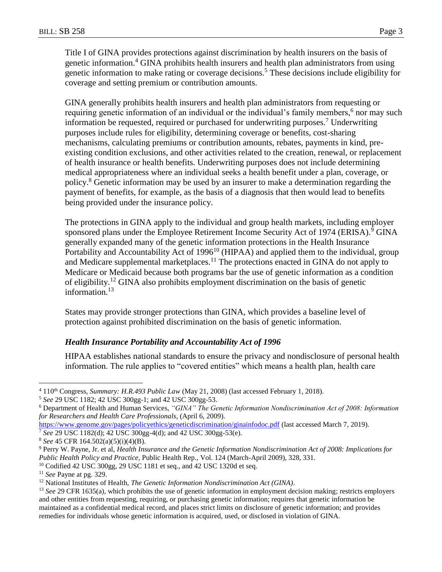Title I of GINA provides protections against discrimination by health insurers on the basis of genetic information.<sup>4</sup> GINA prohibits health insurers and health plan administrators from using genetic information to make rating or coverage decisions.<sup>5</sup> These decisions include eligibility for coverage and setting premium or contribution amounts.

GINA generally prohibits health insurers and health plan administrators from requesting or requiring genetic information of an individual or the individual's family members,<sup>6</sup> nor may such information be requested, required or purchased for underwriting purposes.<sup>7</sup> Underwriting purposes include rules for eligibility, determining coverage or benefits, cost-sharing mechanisms, calculating premiums or contribution amounts, rebates, payments in kind, preexisting condition exclusions, and other activities related to the creation, renewal, or replacement of health insurance or health benefits. Underwriting purposes does not include determining medical appropriateness where an individual seeks a health benefit under a plan, coverage, or policy.<sup>8</sup> Genetic information may be used by an insurer to make a determination regarding the payment of benefits, for example, as the basis of a diagnosis that then would lead to benefits being provided under the insurance policy.

The protections in GINA apply to the individual and group health markets, including employer sponsored plans under the Employee Retirement Income Security Act of 1974 (ERISA).<sup>9</sup> GINA generally expanded many of the genetic information protections in the Health Insurance Portability and Accountability Act of  $1996<sup>10</sup>$  (HIPAA) and applied them to the individual, group and Medicare supplemental marketplaces.<sup>11</sup> The protections enacted in GINA do not apply to Medicare or Medicaid because both programs bar the use of genetic information as a condition of eligibility.<sup>12</sup> GINA also prohibits employment discrimination on the basis of genetic information.<sup>13</sup>

States may provide stronger protections than GINA, which provides a baseline level of protection against prohibited discrimination on the basis of genetic information.

#### *Health Insurance Portability and Accountability Act of 1996*

HIPAA establishes national standards to ensure the privacy and nondisclosure of personal health information. The rule applies to "covered entities" which means a health plan, health care

<sup>5</sup> *See* 29 USC 1182; 42 USC 300gg-1; and 42 USC 300gg-53.

<sup>&</sup>lt;sup>4</sup> 110<sup>th</sup> Congress, *Summary: H.R.493 Public Law* (May 21, 2008) (last accessed February 1, 2018).

<sup>6</sup> Department of Health and Human Services, *"GINA" The Genetic Information Nondiscrimination Act of 2008: Information for Researchers and Health Care Professionals*, (April 6, 2009).

<https://www.genome.gov/pages/policyethics/geneticdiscrimination/ginainfodoc.pdf> (last accessed March 7, 2019).

<sup>7</sup> *See* 29 USC 1182(d); 42 USC 300gg-4(d); and 42 USC 300gg-53(e).

<sup>8</sup> *See* 45 CFR 164.502(a)(5)(i)(4)(B).

<sup>9</sup> Perry W. Payne, Jr. et al, *Health Insurance and the Genetic Information Nondiscrimination Act of 2008: Implications for Public Health Policy and Practice*, Public Health Rep., Vol. 124 (March-April 2009), 328, 331.

<sup>&</sup>lt;sup>10</sup> Codified 42 USC 300gg, 29 USC 1181 et seq., and 42 USC 1320d et seq.

<sup>11</sup> *See* Payne at pg. 329.

<sup>12</sup> National Institutes of Health, *The Genetic Information Nondiscrimination Act (GINA)*.

<sup>13</sup> *See* 29 CFR 1635(a), which prohibits the use of genetic information in employment decision making; restricts employers and other entities from requesting, requiring, or purchasing genetic information; requires that genetic information be maintained as a confidential medical record, and places strict limits on disclosure of genetic information; and provides remedies for individuals whose genetic information is acquired, used, or disclosed in violation of GINA.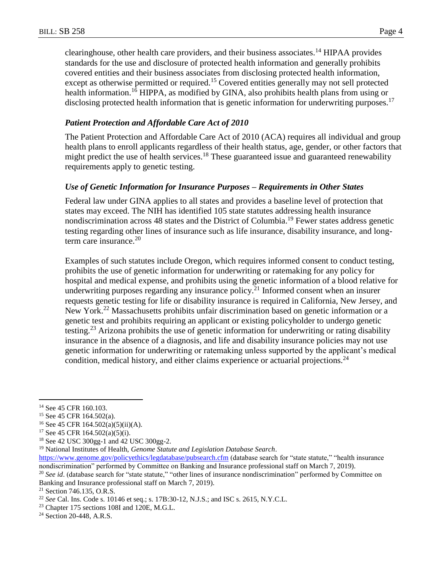clearinghouse, other health care providers, and their business associates.<sup>14</sup> HIPAA provides standards for the use and disclosure of protected health information and generally prohibits covered entities and their business associates from disclosing protected health information, except as otherwise permitted or required.<sup>15</sup> Covered entities generally may not sell protected health information.<sup>16</sup> HIPPA, as modified by GINA, also prohibits health plans from using or disclosing protected health information that is genetic information for underwriting purposes.<sup>17</sup>

### *Patient Protection and Affordable Care Act of 2010*

The Patient Protection and Affordable Care Act of 2010 (ACA) requires all individual and group health plans to enroll applicants regardless of their health status, age, gender, or other factors that might predict the use of health services.<sup>18</sup> These guaranteed issue and guaranteed renewability requirements apply to genetic testing.

## *Use of Genetic Information for Insurance Purposes – Requirements in Other States*

Federal law under GINA applies to all states and provides a baseline level of protection that states may exceed. The NIH has identified 105 state statutes addressing health insurance nondiscrimination across 48 states and the District of Columbia.<sup>19</sup> Fewer states address genetic testing regarding other lines of insurance such as life insurance, disability insurance, and longterm care insurance. $20$ 

Examples of such statutes include Oregon, which requires informed consent to conduct testing, prohibits the use of genetic information for underwriting or ratemaking for any policy for hospital and medical expense, and prohibits using the genetic information of a blood relative for underwriting purposes regarding any insurance policy.<sup>21</sup> Informed consent when an insurer requests genetic testing for life or disability insurance is required in California, New Jersey, and New York.<sup>22</sup> Massachusetts prohibits unfair discrimination based on genetic information or a genetic test and prohibits requiring an applicant or existing policyholder to undergo genetic testing.<sup>23</sup> Arizona prohibits the use of genetic information for underwriting or rating disability insurance in the absence of a diagnosis, and life and disability insurance policies may not use genetic information for underwriting or ratemaking unless supported by the applicant's medical condition, medical history, and either claims experience or actuarial projections.<sup>24</sup>

<sup>&</sup>lt;sup>14</sup> See 45 CFR 160.103.

<sup>15</sup> See 45 CFR 164.502(a).

<sup>&</sup>lt;sup>16</sup> See 45 CFR 164.502(a)(5)(ii)(A).

<sup>17</sup> See 45 CFR 164.502(a)(5)(i).

<sup>18</sup> See 42 USC 300gg-1 and 42 USC 300gg-2.

<sup>19</sup> National Institutes of Health, *Genome Statute and Legislation Database Search*.

<https://www.genome.gov/policyethics/legdatabase/pubsearch.cfm> (database search for "state statute," "health insurance nondiscrimination" performed by Committee on Banking and Insurance professional staff on March 7, 2019).

<sup>&</sup>lt;sup>20</sup> See id. (database search for "state statute," "other lines of insurance nondiscrimination" performed by Committee on Banking and Insurance professional staff on March 7, 2019).

<sup>21</sup> Section 746.135, O.R.S.

<sup>22</sup> *See* Cal. Ins. Code s. 10146 et seq.; s. 17B:30-12, N.J.S.; and ISC s. 2615, N.Y.C.L.

<sup>23</sup> Chapter 175 sections 108I and 120E, M.G.L.

<sup>24</sup> Section 20-448, A.R.S.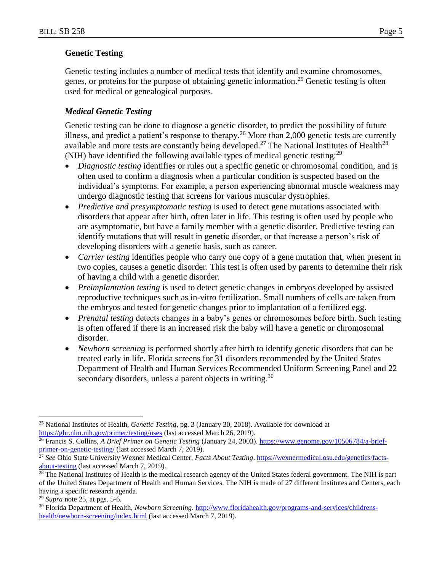#### **Genetic Testing**

Genetic testing includes a number of medical tests that identify and examine chromosomes, genes, or proteins for the purpose of obtaining genetic information.<sup>25</sup> Genetic testing is often used for medical or genealogical purposes.

### *Medical Genetic Testing*

Genetic testing can be done to diagnose a genetic disorder, to predict the possibility of future illness, and predict a patient's response to therapy.<sup>26</sup> More than 2,000 genetic tests are currently available and more tests are constantly being developed.<sup>27</sup> The National Institutes of Health<sup>28</sup> (NIH) have identified the following available types of medical genetic testing:<sup>29</sup>

- *Diagnostic testing* identifies or rules out a specific genetic or chromosomal condition, and is often used to confirm a diagnosis when a particular condition is suspected based on the individual's symptoms. For example, a person experiencing abnormal muscle weakness may undergo diagnostic testing that screens for various muscular dystrophies.
- *Predictive and presymptomatic testing* is used to detect gene mutations associated with disorders that appear after birth, often later in life. This testing is often used by people who are asymptomatic, but have a family member with a genetic disorder. Predictive testing can identify mutations that will result in genetic disorder, or that increase a person's risk of developing disorders with a genetic basis, such as cancer.
- *Carrier testing* identifies people who carry one copy of a gene mutation that, when present in two copies, causes a genetic disorder. This test is often used by parents to determine their risk of having a child with a genetic disorder.
- *Preimplantation testing* is used to detect genetic changes in embryos developed by assisted reproductive techniques such as in-vitro fertilization. Small numbers of cells are taken from the embryos and tested for genetic changes prior to implantation of a fertilized egg.
- *Prenatal testing* detects changes in a baby's genes or chromosomes before birth. Such testing is often offered if there is an increased risk the baby will have a genetic or chromosomal disorder.
- *Newborn screening* is performed shortly after birth to identify genetic disorders that can be treated early in life. Florida screens for 31 disorders recommended by the United States Department of Health and Human Services Recommended Uniform Screening Panel and 22 secondary disorders, unless a parent objects in writing.<sup>30</sup>

<sup>25</sup> National Institutes of Health, *Genetic Testing*, pg. 3 (January 30, 2018). Available for download at <https://ghr.nlm.nih.gov/primer/testing/uses> (last accessed March 26, 2019).

<sup>&</sup>lt;sup>26</sup> Francis S. Collins, *A Brief Primer on Genetic Testing* (January 24, 2003)[. https://www.genome.gov/10506784/a-brief](https://www.genome.gov/10506784/a-brief-primer-on-genetic-testing/)[primer-on-genetic-testing/](https://www.genome.gov/10506784/a-brief-primer-on-genetic-testing/) (last accessed March 7, 2019).

<sup>27</sup> *See* Ohio State University Wexner Medical Center, *Facts About Testing*[. https://wexnermedical.osu.edu/genetics/facts](https://wexnermedical.osu.edu/genetics/facts-about-testing)[about-testing](https://wexnermedical.osu.edu/genetics/facts-about-testing) (last accessed March 7, 2019).

<sup>&</sup>lt;sup>28</sup> The National Institutes of Health is the medical research agency of the United States federal government. The NIH is part of the United States Department of Health and Human Services. The NIH is made of 27 different Institutes and Centers, each having a specific research agenda.

<sup>29</sup> *Supra* note 25, at pgs. 5-6.

<sup>30</sup> Florida Department of Health, *Newborn Screening*[. http://www.floridahealth.gov/programs-and-services/childrens](http://www.floridahealth.gov/programs-and-services/childrens-health/newborn-screening/index.html)[health/newborn-screening/index.html](http://www.floridahealth.gov/programs-and-services/childrens-health/newborn-screening/index.html) (last accessed March 7, 2019).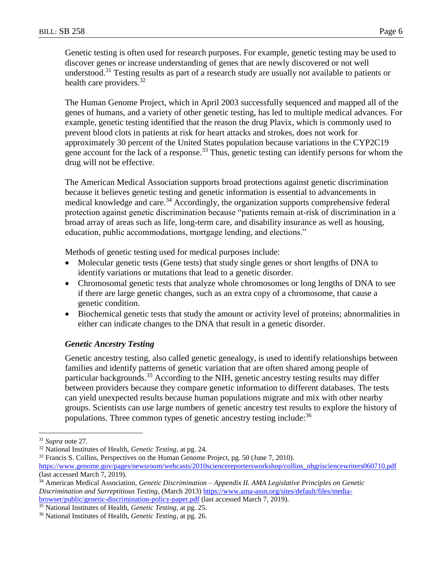Genetic testing is often used for research purposes. For example, genetic testing may be used to discover genes or increase understanding of genes that are newly discovered or not well understood.<sup>31</sup> Testing results as part of a research study are usually not available to patients or health care providers.<sup>32</sup>

The Human Genome Project, which in April 2003 successfully sequenced and mapped all of the genes of humans, and a variety of other genetic testing, has led to multiple medical advances. For example, genetic testing identified that the reason the drug Plavix, which is commonly used to prevent blood clots in patients at risk for heart attacks and strokes, does not work for approximately 30 percent of the United States population because variations in the CYP2C19 gene account for the lack of a response.<sup>33</sup> Thus, genetic testing can identify persons for whom the drug will not be effective.

The American Medical Association supports broad protections against genetic discrimination because it believes genetic testing and genetic information is essential to advancements in medical knowledge and care.<sup>34</sup> Accordingly, the organization supports comprehensive federal protection against genetic discrimination because "patients remain at-risk of discrimination in a broad array of areas such as life, long-term care, and disability insurance as well as housing, education, public accommodations, mortgage lending, and elections."

Methods of genetic testing used for medical purposes include:

- Molecular genetic tests (Gene tests) that study single genes or short lengths of DNA to identify variations or mutations that lead to a genetic disorder.
- Chromosomal genetic tests that analyze whole chromosomes or long lengths of DNA to see if there are large genetic changes, such as an extra copy of a chromosome, that cause a genetic condition.
- Biochemical genetic tests that study the amount or activity level of proteins; abnormalities in either can indicate changes to the DNA that result in a genetic disorder.

#### *Genetic Ancestry Testing*

Genetic ancestry testing, also called genetic genealogy, is used to identify relationships between families and identify patterns of genetic variation that are often shared among people of particular backgrounds.<sup>35</sup> According to the NIH, genetic ancestry testing results may differ between providers because they compare genetic information to different databases. The tests can yield unexpected results because human populations migrate and mix with other nearby groups. Scientists can use large numbers of genetic ancestry test results to explore the history of populations. Three common types of genetic ancestry testing include:<sup>36</sup>

<sup>31</sup> *Supra* note 27*.*

<sup>32</sup> National Institutes of Health, *Genetic Testing*, at pg. 24.

<sup>&</sup>lt;sup>33</sup> Francis S. Collins, Perspectives on the Human Genome Project, pg. 50 (June 7, 2010).

[https://www.genome.gov/pages/newsroom/webcasts/2010sciencereportersworkshop/collins\\_nhgrisciencewriters060710.pdf](https://www.genome.gov/pages/newsroom/webcasts/2010sciencereportersworkshop/collins_nhgrisciencewriters060710.pdf) (last accessed March 7, 2019).

<sup>34</sup> American Medical Association*, Genetic Discrimination – Appendix II. AMA Legislative Principles on Genetic Discrimination and Surreptitious Testing*, (March 2013[\) https://www.ama-assn.org/sites/default/files/media](https://www.ama-assn.org/sites/default/files/media-browser/public/genetic-discrimination-policy-paper.pdf)[browser/public/genetic-discrimination-policy-paper.pdf](https://www.ama-assn.org/sites/default/files/media-browser/public/genetic-discrimination-policy-paper.pdf) (last accessed March 7, 2019).

<sup>35</sup> National Institutes of Health, *Genetic Testing*, at pg. 25.

<sup>36</sup> National Institutes of Health, *Genetic Testing*, at pg. 26.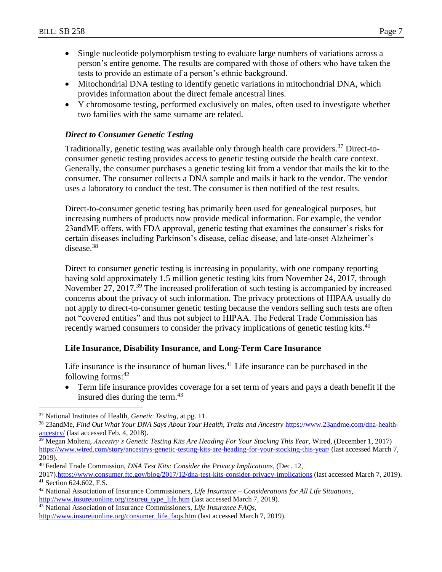- Single nucleotide polymorphism testing to evaluate large numbers of variations across a person's entire genome. The results are compared with those of others who have taken the tests to provide an estimate of a person's ethnic background.
- Mitochondrial DNA testing to identify genetic variations in mitochondrial DNA, which provides information about the direct female ancestral lines.
- Y chromosome testing, performed exclusively on males, often used to investigate whether two families with the same surname are related.

#### *Direct to Consumer Genetic Testing*

Traditionally, genetic testing was available only through health care providers.<sup>37</sup> Direct-toconsumer genetic testing provides access to genetic testing outside the health care context. Generally, the consumer purchases a genetic testing kit from a vendor that mails the kit to the consumer. The consumer collects a DNA sample and mails it back to the vendor. The vendor uses a laboratory to conduct the test. The consumer is then notified of the test results.

Direct-to-consumer genetic testing has primarily been used for genealogical purposes, but increasing numbers of products now provide medical information. For example, the vendor 23andME offers, with FDA approval, genetic testing that examines the consumer's risks for certain diseases including Parkinson's disease, celiac disease, and late-onset Alzheimer's disease.<sup>38</sup>

Direct to consumer genetic testing is increasing in popularity, with one company reporting having sold approximately 1.5 million genetic testing kits from November 24, 2017, through November 27, 2017.<sup>39</sup> The increased proliferation of such testing is accompanied by increased concerns about the privacy of such information. The privacy protections of HIPAA usually do not apply to direct-to-consumer genetic testing because the vendors selling such tests are often not "covered entities" and thus not subject to HIPAA. The Federal Trade Commission has recently warned consumers to consider the privacy implications of genetic testing kits.<sup>40</sup>

#### **Life Insurance, Disability Insurance, and Long-Term Care Insurance**

Life insurance is the insurance of human lives.<sup>41</sup> Life insurance can be purchased in the following forms: 42

 Term life insurance provides coverage for a set term of years and pays a death benefit if the insured dies during the term.<sup>43</sup>

 $\overline{a}$ 

<sup>39</sup> Megan Molteni, *Ancestry's Genetic Testing Kits Are Heading For Your Stocking This Year*, Wired, (December 1, 2017) <https://www.wired.com/story/ancestrys-genetic-testing-kits-are-heading-for-your-stocking-this-year/> (last accessed March 7, 2019).

<sup>37</sup> National Institutes of Health, *Genetic Testing*, at pg. 11.

<sup>38</sup> 23andMe, *Find Out What Your DNA Says About Your Health, Traits and Ancestry* [https://www.23andme.com/dna-health](https://www.23andme.com/dna-health-ancestry/)[ancestry/](https://www.23andme.com/dna-health-ancestry/) (last accessed Feb. 4, 2018).

<sup>40</sup> Federal Trade Commission, *DNA Test Kits: Consider the Privacy Implications*, (Dec. 12,

<sup>2017)</sup>[.https://www.consumer.ftc.gov/blog/2017/12/dna-test-kits-consider-privacy-implications](https://www.consumer.ftc.gov/blog/2017/12/dna-test-kits-consider-privacy-implications) (last accessed March 7, 2019). <sup>41</sup> Section 624.602, F.S.

<sup>42</sup> National Association of Insurance Commissioners, *Life Insurance – Considerations for All Life Situations*,

[http://www.insureuonline.org/insureu\\_type\\_life.htm](http://www.insureuonline.org/insureu_type_life.htm) (last accessed March 7, 2019).

<sup>43</sup> National Association of Insurance Commissioners, *Life Insurance FAQs*,

[http://www.insureuonline.org/consumer\\_life\\_faqs.htm](http://www.insureuonline.org/consumer_life_faqs.htm) (last accessed March 7, 2019).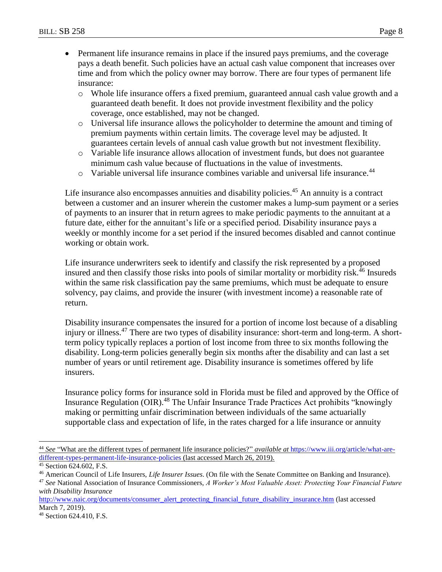- Permanent life insurance remains in place if the insured pays premiums, and the coverage pays a death benefit. Such policies have an actual cash value component that increases over time and from which the policy owner may borrow. There are four types of permanent life insurance:
	- o Whole life insurance offers a fixed premium, guaranteed annual cash value growth and a guaranteed death benefit. It does not provide investment flexibility and the policy coverage, once established, may not be changed.
	- o Universal life insurance allows the policyholder to determine the amount and timing of premium payments within certain limits. The coverage level may be adjusted. It guarantees certain levels of annual cash value growth but not investment flexibility.
	- o Variable life insurance allows allocation of investment funds, but does not guarantee minimum cash value because of fluctuations in the value of investments.
	- $\circ$  Variable universal life insurance combines variable and universal life insurance.<sup>44</sup>

Life insurance also encompasses annuities and disability policies.<sup>45</sup> An annuity is a contract between a customer and an insurer wherein the customer makes a lump-sum payment or a series of payments to an insurer that in return agrees to make periodic payments to the annuitant at a future date, either for the annuitant's life or a specified period. Disability insurance pays a weekly or monthly income for a set period if the insured becomes disabled and cannot continue working or obtain work.

Life insurance underwriters seek to identify and classify the risk represented by a proposed insured and then classify those risks into pools of similar mortality or morbidity risk.<sup>46</sup> Insureds within the same risk classification pay the same premiums, which must be adequate to ensure solvency, pay claims, and provide the insurer (with investment income) a reasonable rate of return.

Disability insurance compensates the insured for a portion of income lost because of a disabling injury or illness.<sup>47</sup> There are two types of disability insurance: short-term and long-term. A shortterm policy typically replaces a portion of lost income from three to six months following the disability. Long-term policies generally begin six months after the disability and can last a set number of years or until retirement age. Disability insurance is sometimes offered by life insurers.

Insurance policy forms for insurance sold in Florida must be filed and approved by the Office of Insurance Regulation (OIR).<sup>48</sup> The Unfair Insurance Trade Practices Act prohibits "knowingly making or permitting unfair discrimination between individuals of the same actuarially supportable class and expectation of life, in the rates charged for a life insurance or annuity

<sup>44</sup> *See* "What are the different types of permanent life insurance policies?" *available at* [https://www.iii.org/article/what-are](https://www.iii.org/article/what-are-different-types-permanent-life-insurance-policies)[different-types-permanent-life-insurance-policies](https://www.iii.org/article/what-are-different-types-permanent-life-insurance-policies) (last accessed March 26, 2019).

<sup>45</sup> Section 624.602, F.S.

<sup>46</sup> American Council of Life Insurers, *Life Insurer Issues*. (On file with the Senate Committee on Banking and Insurance).

<sup>47</sup> *See* National Association of Insurance Commissioners, *A Worker's Most Valuable Asset: Protecting Your Financial Future with Disability Insurance*

[http://www.naic.org/documents/consumer\\_alert\\_protecting\\_financial\\_future\\_disability\\_insurance.htm](http://www.naic.org/documents/consumer_alert_protecting_financial_future_disability_insurance.htm) (last accessed March 7, 2019).

<sup>48</sup> Section 624.410, F.S.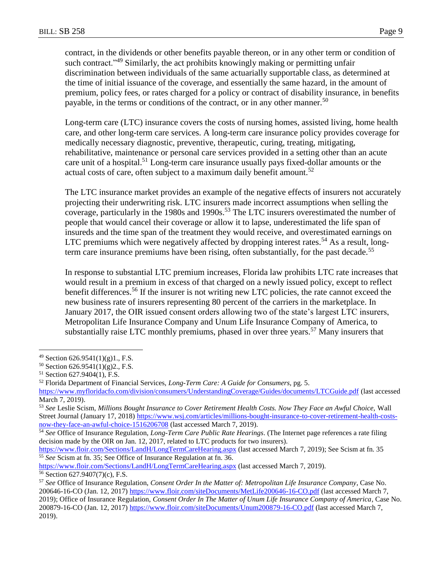contract, in the dividends or other benefits payable thereon, or in any other term or condition of such contract.<sup>249</sup> Similarly, the act prohibits knowingly making or permitting unfair discrimination between individuals of the same actuarially supportable class, as determined at the time of initial issuance of the coverage, and essentially the same hazard, in the amount of premium, policy fees, or rates charged for a policy or contract of disability insurance, in benefits payable, in the terms or conditions of the contract, or in any other manner.<sup>50</sup>

Long-term care (LTC) insurance covers the costs of nursing homes, assisted living, home health care, and other long-term care services. A long-term care insurance policy provides coverage for medically necessary diagnostic, preventive, therapeutic, curing, treating, mitigating, rehabilitative, maintenance or personal care services provided in a setting other than an acute care unit of a hospital.<sup>51</sup> Long-term care insurance usually pays fixed-dollar amounts or the actual costs of care, often subject to a maximum daily benefit amount.<sup>52</sup>

The LTC insurance market provides an example of the negative effects of insurers not accurately projecting their underwriting risk. LTC insurers made incorrect assumptions when selling the coverage, particularly in the 1980s and 1990s.<sup>53</sup> The LTC insurers overestimated the number of people that would cancel their coverage or allow it to lapse, underestimated the life span of insureds and the time span of the treatment they would receive, and overestimated earnings on LTC premiums which were negatively affected by dropping interest rates.<sup>54</sup> As a result, longterm care insurance premiums have been rising, often substantially, for the past decade.<sup>55</sup>

In response to substantial LTC premium increases, Florida law prohibits LTC rate increases that would result in a premium in excess of that charged on a newly issued policy, except to reflect benefit differences.<sup>56</sup> If the insurer is not writing new LTC policies, the rate cannot exceed the new business rate of insurers representing 80 percent of the carriers in the marketplace. In January 2017, the OIR issued consent orders allowing two of the state's largest LTC insurers, Metropolitan Life Insurance Company and Unum Life Insurance Company of America, to substantially raise LTC monthly premiums, phased in over three years.<sup>57</sup> Many insurers that

 $49$  Section 626.9541(1)(g)1., F.S.

<sup>50</sup> Section 626.9541(1)(g)2., F.S.

<sup>51</sup> Section 627.9404(1), F.S.

<sup>52</sup> Florida Department of Financial Services, *Long-Term Care: A Guide for Consumers,* pg. 5.

<https://www.myfloridacfo.com/division/consumers/UnderstandingCoverage/Guides/documents/LTCGuide.pdf> (last accessed March 7, 2019).

<sup>53</sup> *See* Leslie Scism, *Millions Bought Insurance to Cover Retirement Health Costs. Now They Face an Awful Choice,* Wall Street Journal (January 17, 2018) [https://www.wsj.com/articles/millions-bought-insurance-to-cover-retirement-health-costs](https://www.wsj.com/articles/millions-bought-insurance-to-cover-retirement-health-costs-now-they-face-an-awful-choice-1516206708)[now-they-face-an-awful-choice-1516206708](https://www.wsj.com/articles/millions-bought-insurance-to-cover-retirement-health-costs-now-they-face-an-awful-choice-1516206708) (last accessed March 7, 2019).

<sup>54</sup> *See* Office of Insurance Regulation, *Long-Term Care Public Rate Hearings*. (The Internet page references a rate filing decision made by the OIR on Jan. 12, 2017, related to LTC products for two insurers).

<https://www.floir.com/Sections/LandH/LongTermCareHearing.aspx> (last accessed March 7, 2019); See Scism at fn. 35 <sup>55</sup> *See* Scism at fn. 35; See Office of Insurance Regulation at fn. 36.

<https://www.floir.com/Sections/LandH/LongTermCareHearing.aspx> (last accessed March 7, 2019). <sup>56</sup> Section 627.9407(7)(c), F.S.

<sup>57</sup> *See* Office of Insurance Regulation, *Consent Order In the Matter of: Metropolitan Life Insurance Company*, Case No. 200646-16-CO (Jan. 12, 2017) <https://www.floir.com/siteDocuments/MetLife200646-16-CO.pdf> (last accessed March 7, 2019); Office of Insurance Regulation, *Consent Order In The Matter of Unum Life Insurance Company of America*, Case No. 200879-16-CO (Jan. 12, 2017)<https://www.floir.com/siteDocuments/Unum200879-16-CO.pdf> (last accessed March 7, 2019).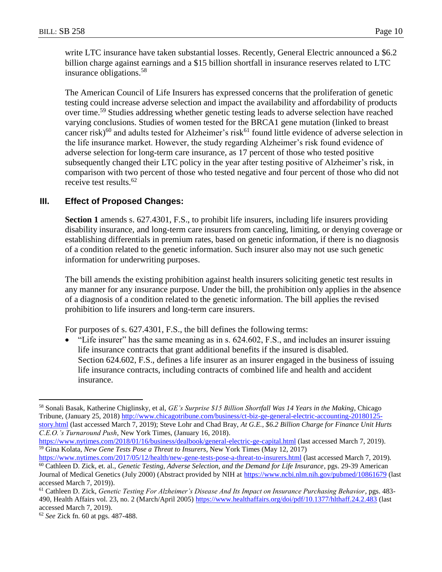write LTC insurance have taken substantial losses. Recently, General Electric announced a \$6.2 billion charge against earnings and a \$15 billion shortfall in insurance reserves related to LTC insurance obligations.<sup>58</sup>

The American Council of Life Insurers has expressed concerns that the proliferation of genetic testing could increase adverse selection and impact the availability and affordability of products over time.<sup>59</sup> Studies addressing whether genetic testing leads to adverse selection have reached varying conclusions. Studies of women tested for the BRCA1 gene mutation (linked to breast cancer risk)<sup>60</sup> and adults tested for Alzheimer's risk<sup>61</sup> found little evidence of adverse selection in the life insurance market. However, the study regarding Alzheimer's risk found evidence of adverse selection for long-term care insurance, as 17 percent of those who tested positive subsequently changed their LTC policy in the year after testing positive of Alzheimer's risk, in comparison with two percent of those who tested negative and four percent of those who did not receive test results.<sup>62</sup>

### **III. Effect of Proposed Changes:**

**Section 1** amends s. 627.4301, F.S., to prohibit life insurers, including life insurers providing disability insurance, and long-term care insurers from canceling, limiting, or denying coverage or establishing differentials in premium rates, based on genetic information, if there is no diagnosis of a condition related to the genetic information. Such insurer also may not use such genetic information for underwriting purposes.

The bill amends the existing prohibition against health insurers soliciting genetic test results in any manner for any insurance purpose. Under the bill, the prohibition only applies in the absence of a diagnosis of a condition related to the genetic information. The bill applies the revised prohibition to life insurers and long-term care insurers.

For purposes of s. 627.4301, F.S., the bill defines the following terms:

 $\bullet$  "Life insurer" has the same meaning as in s. 624.602, F.S., and includes an insurer issuing life insurance contracts that grant additional benefits if the insured is disabled. Section 624.602, F.S., defines a life insurer as an insurer engaged in the business of issuing life insurance contracts, including contracts of combined life and health and accident insurance.

<https://www.nytimes.com/2017/05/12/health/new-gene-tests-pose-a-threat-to-insurers.html> (last accessed March 7, 2019). <sup>60</sup> Cathleen D. Zick, et. al., *Genetic Testing, Adverse Selection, and the Demand for Life Insurance*, pgs. 29-39 American Journal of Medical Genetics (July 2000) (Abstract provided by NIH at<https://www.ncbi.nlm.nih.gov/pubmed/10861679> (last

<sup>58</sup> Sonali Basak, Katherine Chiglinsky, et al, *GE's Surprise \$15 Billion Shortfall Was 14 Years in the Making*, Chicago Tribune, (January 25, 2018) [http://www.chicagotribune.com/business/ct-biz-ge-general-electric-accounting-20180125](http://www.chicagotribune.com/business/ct-biz-ge-general-electric-accounting-20180125-story.html) [story.html](http://www.chicagotribune.com/business/ct-biz-ge-general-electric-accounting-20180125-story.html) (last accessed March 7, 2019); Steve Lohr and Chad Bray, *At G.E., \$6.2 Billion Charge for Finance Unit Hurts C.E.O.'s Turnaround Push*, New York Times, (January 16, 2018).

<https://www.nytimes.com/2018/01/16/business/dealbook/general-electric-ge-capital.html> (last accessed March 7, 2019). <sup>59</sup> Gina Kolata, *New Gene Tests Pose a Threat to Insurers*, New York Times (May 12, 2017)

accessed March 7, 2019)).

<sup>61</sup> Cathleen D. Zick, *Genetic Testing For Alzheimer's Disease And Its Impact on Insurance Purchasing Behavior*, pgs. 483 490, Health Affairs vol. 23, no. 2 (March/April 2005)<https://www.healthaffairs.org/doi/pdf/10.1377/hlthaff.24.2.483> (last accessed March 7, 2019).

<sup>62</sup> *See* Zick fn. 60 at pgs. 487-488.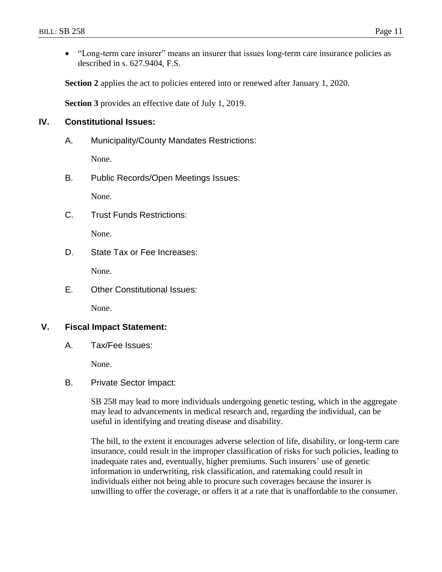"Long-term care insurer" means an insurer that issues long-term care insurance policies as described in s. 627.9404, F.S.

**Section 2** applies the act to policies entered into or renewed after January 1, 2020.

**Section 3** provides an effective date of July 1, 2019.

## **IV. Constitutional Issues:**

A. Municipality/County Mandates Restrictions:

None.

B. Public Records/Open Meetings Issues:

None.

C. Trust Funds Restrictions:

None.

D. State Tax or Fee Increases:

None.

E. Other Constitutional Issues:

None.

#### **V. Fiscal Impact Statement:**

A. Tax/Fee Issues:

None.

B. Private Sector Impact:

SB 258 may lead to more individuals undergoing genetic testing, which in the aggregate may lead to advancements in medical research and, regarding the individual, can be useful in identifying and treating disease and disability.

The bill, to the extent it encourages adverse selection of life, disability, or long-term care insurance, could result in the improper classification of risks for such policies, leading to inadequate rates and, eventually, higher premiums. Such insurers' use of genetic information in underwriting, risk classification, and ratemaking could result in individuals either not being able to procure such coverages because the insurer is unwilling to offer the coverage, or offers it at a rate that is unaffordable to the consumer.